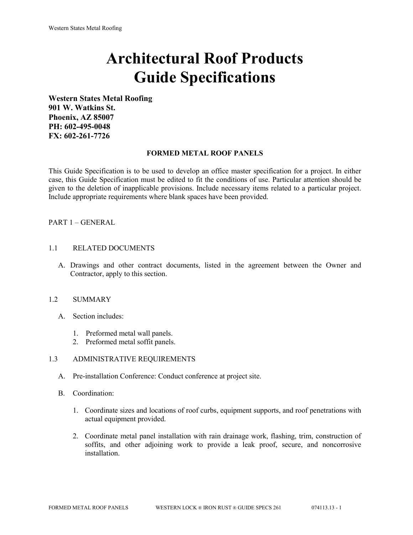# **Architectural Roof Products Guide Specifications**

**Western States Metal Roofing 901 W. Watkins St. Phoenix, AZ 85007 PH: 602-495-0048 FX: 602-261-7726**

## **FORMED METAL ROOF PANELS**

This Guide Specification is to be used to develop an office master specification for a project. In either case, this Guide Specification must be edited to fit the conditions of use. Particular attention should be given to the deletion of inapplicable provisions. Include necessary items related to a particular project. Include appropriate requirements where blank spaces have been provided.

## PART 1 – GENERAL

#### 1.1 RELATED DOCUMENTS

A. Drawings and other contract documents, listed in the agreement between the Owner and Contractor, apply to this section.

# 1.2 SUMMARY

- A. Section includes:
	- 1. Preformed metal wall panels.
	- 2. Preformed metal soffit panels.

#### 1.3 ADMINISTRATIVE REQUIREMENTS

- A. Pre-installation Conference: Conduct conference at project site.
- B. Coordination:
	- 1. Coordinate sizes and locations of roof curbs, equipment supports, and roof penetrations with actual equipment provided.
	- 2. Coordinate metal panel installation with rain drainage work, flashing, trim, construction of soffits, and other adjoining work to provide a leak proof, secure, and noncorrosive installation.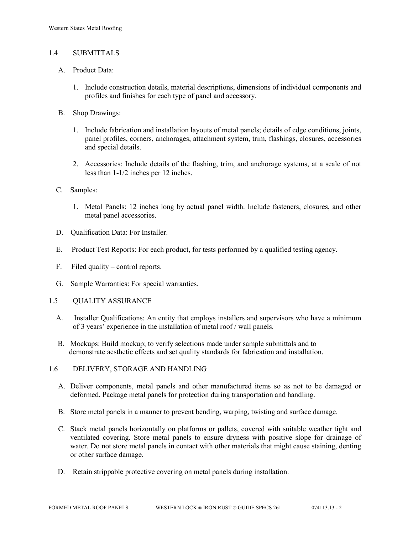## 1.4 SUBMITTALS

- A. Product Data:
	- 1. Include construction details, material descriptions, dimensions of individual components and profiles and finishes for each type of panel and accessory.
- B. Shop Drawings:
	- 1. Include fabrication and installation layouts of metal panels; details of edge conditions, joints, panel profiles, corners, anchorages, attachment system, trim, flashings, closures, accessories and special details.
	- 2. Accessories: Include details of the flashing, trim, and anchorage systems, at a scale of not less than 1-1/2 inches per 12 inches.
- C. Samples:
	- 1. Metal Panels: 12 inches long by actual panel width. Include fasteners, closures, and other metal panel accessories.
- D. Qualification Data: For Installer.
- E. Product Test Reports: For each product, for tests performed by a qualified testing agency.
- F. Filed quality control reports.
- G. Sample Warranties: For special warranties.
- 1.5 QUALITY ASSURANCE
	- A. Installer Qualifications: An entity that employs installers and supervisors who have a minimum of 3 years' experience in the installation of metal roof / wall panels.
	- B. Mockups: Build mockup; to verify selections made under sample submittals and to demonstrate aesthetic effects and set quality standards for fabrication and installation.
- 1.6 DELIVERY, STORAGE AND HANDLING
	- A. Deliver components, metal panels and other manufactured items so as not to be damaged or deformed. Package metal panels for protection during transportation and handling.
	- B. Store metal panels in a manner to prevent bending, warping, twisting and surface damage.
	- C. Stack metal panels horizontally on platforms or pallets, covered with suitable weather tight and ventilated covering. Store metal panels to ensure dryness with positive slope for drainage of water. Do not store metal panels in contact with other materials that might cause staining, denting or other surface damage.
	- D. Retain strippable protective covering on metal panels during installation.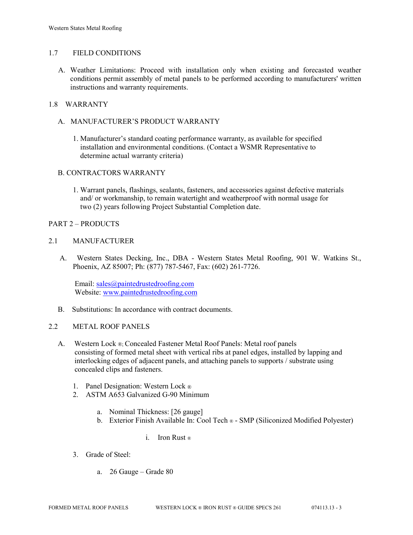## 1.7 FIELD CONDITIONS

A. Weather Limitations: Proceed with installation only when existing and forecasted weather conditions permit assembly of metal panels to be performed according to manufacturers' written instructions and warranty requirements.

## 1.8 WARRANTY

- A. MANUFACTURER'S PRODUCT WARRANTY
	- 1. Manufacturer's standard coating performance warranty, as available for specified installation and environmental conditions. (Contact a WSMR Representative to determine actual warranty criteria)

# B. CONTRACTORS WARRANTY

1. Warrant panels, flashings, sealants, fasteners, and accessories against defective materials and/ or workmanship, to remain watertight and weatherproof with normal usage for two (2) years following Project Substantial Completion date.

## PART 2 – PRODUCTS

## 2.1 MANUFACTURER

 A. Western States Decking, Inc., DBA - Western States Metal Roofing, 901 W. Watkins St., Phoenix, AZ 85007; Ph: (877) 787-5467, Fax: (602) 261-7726.

Email: [sales@paintedrustedroofing.com](mailto:sales@paintedrustedroofing.com) Website: [www.paintedrustedroofing.com](http://www.paintedrustedroofing.com/)

B. Substitutions: In accordance with contract documents.

#### 2.2 METAL ROOF PANELS

- A. Western Lock ®; Concealed Fastener Metal Roof Panels: Metal roof panels consisting of formed metal sheet with vertical ribs at panel edges, installed by lapping and interlocking edges of adjacent panels, and attaching panels to supports / substrate using concealed clips and fasteners.
	- 1. Panel Designation: Western Lock ®
	- 2. ASTM A653 Galvanized G-90 Minimum
		- a. Nominal Thickness: [26 gauge]
		- b. Exterior Finish Available In: Cool Tech ® SMP (Siliconized Modified Polyester)
			- i. Iron Rust ®
	- 3. Grade of Steel:
		- a. 26 Gauge Grade 80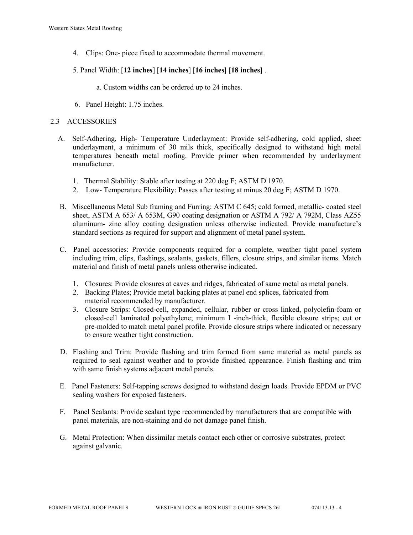- 4. Clips: One- piece fixed to accommodate thermal movement.
- 5. Panel Width: [**12 inches**] [**14 inches**] [**16 inches] [18 inches]** .
	- a. Custom widths can be ordered up to 24 inches.
- 6. Panel Height: 1.75 inches.

# 2.3 ACCESSORIES

- A. Self-Adhering, High- Temperature Underlayment: Provide self-adhering, cold applied, sheet underlayment, a minimum of 30 mils thick, specifically designed to withstand high metal temperatures beneath metal roofing. Provide primer when recommended by underlayment manufacturer.
	- 1. Thermal Stability: Stable after testing at 220 deg F; ASTM D 1970.
	- 2. Low- Temperature Flexibility: Passes after testing at minus 20 deg F; ASTM D 1970.
- B. Miscellaneous Metal Sub framing and Furring: ASTM C 645; cold formed, metallic- coated steel sheet, ASTM A 653/ A 653M, G90 coating designation or ASTM A 792/ A 792M, Class AZ55 aluminum- zinc alloy coating designation unless otherwise indicated. Provide manufacture's standard sections as required for support and alignment of metal panel system.
- C. Panel accessories: Provide components required for a complete, weather tight panel system including trim, clips, flashings, sealants, gaskets, fillers, closure strips, and similar items. Match material and finish of metal panels unless otherwise indicated.
	- 1. Closures: Provide closures at eaves and ridges, fabricated of same metal as metal panels.
	- 2. Backing Plates; Provide metal backing plates at panel end splices, fabricated from material recommended by manufacturer.
	- 3. Closure Strips: Closed-cell, expanded, cellular, rubber or cross linked, polyolefin-foam or closed-cell laminated polyethylene; minimum I -inch-thick, flexible closure strips; cut or pre-molded to match metal panel profile. Provide closure strips where indicated or necessary to ensure weather tight construction.
- D. Flashing and Trim: Provide flashing and trim formed from same material as metal panels as required to seal against weather and to provide finished appearance. Finish flashing and trim with same finish systems adjacent metal panels.
- E. Panel Fasteners: Self-tapping screws designed to withstand design loads. Provide EPDM or PVC sealing washers for exposed fasteners.
- F. Panel Sealants: Provide sealant type recommended by manufacturers that are compatible with panel materials, are non-staining and do not damage panel finish.
- G. Metal Protection: When dissimilar metals contact each other or corrosive substrates, protect against galvanic.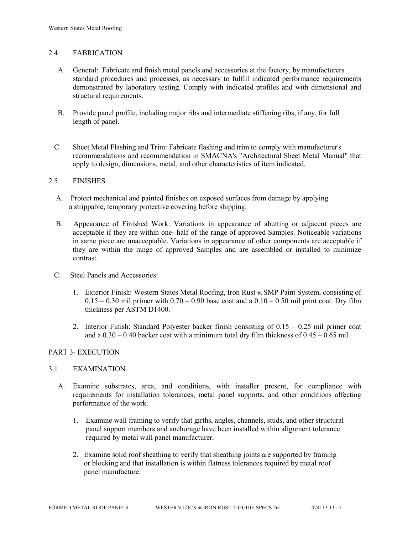# 2.4 FABRICATION

- A. General: Fabricate and finish metal panels and accessories at the factory, by manufacturers standard procedures and processes, as necessary to fulfill indicated performance requirements demonstrated by laboratory testing. Comply with indicated profiles and with dimensional and structural requirements.
- B. Provide panel profile, including major ribs and intermediate stiffening ribs, if any, for full length of panel.
- C. Sheet Metal Flashing and Trim: Fabricate flashing and trim to comply with manufacturer's recommendations and recommendation in SMACNA's "Architectural Sheet Metal Manual" that apply to design, dimensions, metal, and other characteristics of item indicated.

## 2.5 FINISHES

- A. Protect mechanical and painted finishes on exposed surfaces from damage by applying a strippable, temporary protective covering before shipping.
- B. Appearance of Finished Work: Variations in appearance of abutting or adjacent pieces are acceptable if they are within one- half of the range of approved Samples. Noticeable variations in same piece are unacceptable. Variations in appearance of other components are acceptable if they are within the range of approved Samples and are assembled or installed to minimize contrast.
- C. Steel Panels and Accessories:
	- 1. Exterior Finish: Western States Metal Roofing, Iron Rust ®, SMP Paint System, consisting of  $0.15 - 0.30$  mil primer with  $0.70 - 0.90$  base coat and a  $0.10 - 0.50$  mil print coat. Dry film thickness per ASTM D1400.
	- 2. Interior Finish: Standard Polyester backer finish consisting of 0.15 0.25 mil primer coat and a  $0.30 - 0.40$  backer coat with a minimum total dry film thickness of  $0.45 - 0.65$  mil.

# PART 3- EXECUTION

#### 3.1 EXAMINATION

- A. Examine substrates, area, and conditions, with installer present, for compliance with requirements for installation tolerances, metal panel supports, and other conditions affecting performance of the work.
	- 1. Examine wall framing to verify that girths, angles, channels, studs, and other structural panel support members and anchorage have been installed within alignment tolerance required by metal wall panel manufacturer.
	- 2. Examine solid roof sheathing to verify that sheathing joints are supported by framing or blocking and that installation is within flatness tolerances required by metal roof panel manufacture.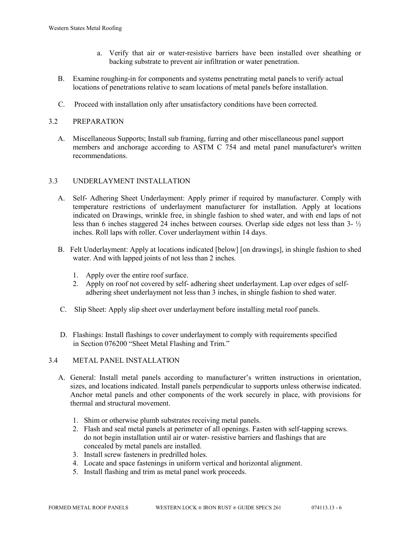- a. Verify that air or water-resistive barriers have been installed over sheathing or backing substrate to prevent air infiltration or water penetration.
- B. Examine roughing-in for components and systems penetrating metal panels to verify actual locations of penetrations relative to seam locations of metal panels before installation.
- C. Proceed with installation only after unsatisfactory conditions have been corrected.

# 3.2 PREPARATION

 A. Miscellaneous Supports; Install sub framing, furring and other miscellaneous panel support members and anchorage according to ASTM C 754 and metal panel manufacturer's written recommendations.

# 3.3 UNDERLAYMENT INSTALLATION

- A. Self- Adhering Sheet Underlayment: Apply primer if required by manufacturer. Comply with temperature restrictions of underlayment manufacturer for installation. Apply at locations indicated on Drawings, wrinkle free, in shingle fashion to shed water, and with end laps of not less than 6 inches staggered 24 inches between courses. Overlap side edges not less than 3- ½ inches. Roll laps with roller. Cover underlayment within 14 days.
- B. Felt Underlayment: Apply at locations indicated [below] [on drawings], in shingle fashion to shed water. And with lapped joints of not less than 2 inches.
	- 1. Apply over the entire roof surface.
	- 2. Apply on roof not covered by self- adhering sheet underlayment. Lap over edges of self adhering sheet underlayment not less than 3 inches, in shingle fashion to shed water.
- C. Slip Sheet: Apply slip sheet over underlayment before installing metal roof panels.
- D. Flashings: Install flashings to cover underlayment to comply with requirements specified in Section 076200 "Sheet Metal Flashing and Trim."

# 3.4 METAL PANEL INSTALLATION

- A. General: Install metal panels according to manufacturer's written instructions in orientation, sizes, and locations indicated. Install panels perpendicular to supports unless otherwise indicated. Anchor metal panels and other components of the work securely in place, with provisions for thermal and structural movement.
	- 1. Shim or otherwise plumb substrates receiving metal panels.
	- 2. Flash and seal metal panels at perimeter of all openings. Fasten with self-tapping screws. do not begin installation until air or water- resistive barriers and flashings that are concealed by metal panels are installed.
	- 3. Install screw fasteners in predrilled holes.
	- 4. Locate and space fastenings in uniform vertical and horizontal alignment.
	- 5. Install flashing and trim as metal panel work proceeds.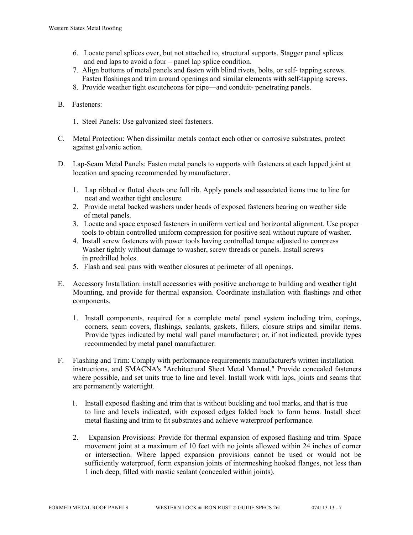- 6. Locate panel splices over, but not attached to, structural supports. Stagger panel splices and end laps to avoid a four – panel lap splice condition.
- 7. Align bottoms of metal panels and fasten with blind rivets, bolts, or self- tapping screws. Fasten flashings and trim around openings and similar elements with self-tapping screws.
- 8. Provide weather tight escutcheons for pipe—and conduit- penetrating panels.
- B. Fasteners:
	- 1. Steel Panels: Use galvanized steel fasteners.
- C. Metal Protection: When dissimilar metals contact each other or corrosive substrates, protect against galvanic action.
- D. Lap-Seam Metal Panels: Fasten metal panels to supports with fasteners at each lapped joint at location and spacing recommended by manufacturer.
	- 1. Lap ribbed or fluted sheets one full rib. Apply panels and associated items true to line for neat and weather tight enclosure.
	- 2. Provide metal backed washers under heads of exposed fasteners bearing on weather side of metal panels.
	- 3. Locate and space exposed fasteners in uniform vertical and horizontal alignment. Use proper tools to obtain controlled uniform compression for positive seal without rupture of washer.
	- 4. Install screw fasteners with power tools having controlled torque adjusted to compress Washer tightly without damage to washer, screw threads or panels. Install screws in predrilled holes.
	- 5. Flash and seal pans with weather closures at perimeter of all openings.
- E. Accessory Installation: install accessories with positive anchorage to building and weather tight Mounting, and provide for thermal expansion. Coordinate installation with flashings and other components.
	- 1. Install components, required for a complete metal panel system including trim, copings, corners, seam covers, flashings, sealants, gaskets, fillers, closure strips and similar items. Provide types indicated by metal wall panel manufacturer; or, if not indicated, provide types recommended by metal panel manufacturer.
- F. Flashing and Trim: Comply with performance requirements manufacturer's written installation instructions, and SMACNA's "Architectural Sheet Metal Manual." Provide concealed fasteners where possible, and set units true to line and level. Install work with laps, joints and seams that are permanently watertight.
	- 1. Install exposed flashing and trim that is without buckling and tool marks, and that is true to line and levels indicated, with exposed edges folded back to form hems. Install sheet metal flashing and trim to fit substrates and achieve waterproof performance.
	- 2. Expansion Provisions: Provide for thermal expansion of exposed flashing and trim. Space movement joint at a maximum of 10 feet with no joints allowed within 24 inches of corner or intersection. Where lapped expansion provisions cannot be used or would not be sufficiently waterproof, form expansion joints of intermeshing hooked flanges, not less than 1 inch deep, filled with mastic sealant (concealed within joints).